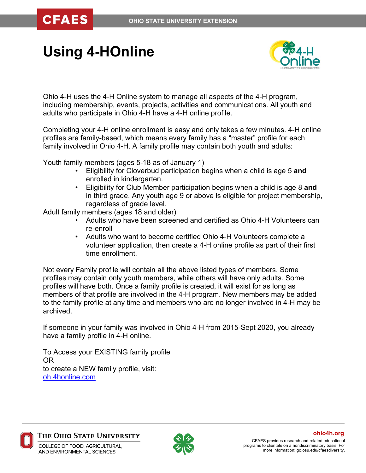**CFAES** 

# **Using 4-HOnline**



Ohio 4-H uses the 4-H Online system to manage all aspects of the 4-H program, including membership, events, projects, activities and communications. All youth and adults who participate in Ohio 4-H have a 4-H online profile.

Completing your 4-H online enrollment is easy and only takes a few minutes. 4-H online profiles are family-based, which means every family has a "master" profile for each family involved in Ohio 4-H. A family profile may contain both youth and adults:

Youth family members (ages 5-18 as of January 1)

- Eligibility for Cloverbud participation begins when a child is age 5 **and**  enrolled in kindergarten.
- Eligibility for Club Member participation begins when a child is age 8 **and** in third grade. Any youth age 9 or above is eligible for project membership, regardless of grade level.

Adult family members (ages 18 and older)

- Adults who have been screened and certified as Ohio 4-H Volunteers can re-enroll
- Adults who want to become certified Ohio 4-H Volunteers complete a volunteer application, then create a 4-H online profile as part of their first time enrollment.

Not every Family profile will contain all the above listed types of members. Some profiles may contain only youth members, while others will have only adults. Some profiles will have both. Once a family profile is created, it will exist for as long as members of that profile are involved in the 4-H program. New members may be added to the family profile at any time and members who are no longer involved in 4-H may be archived.

If someone in your family was involved in Ohio 4-H from 2015-Sept 2020, you already have a family profile in 4-H online.

To Access your EXISTING family profile OR to create a NEW family profile, visit: [oh.4honline.com](https://v2.4honline.com/#/user/sign-in)



The Ohio State University



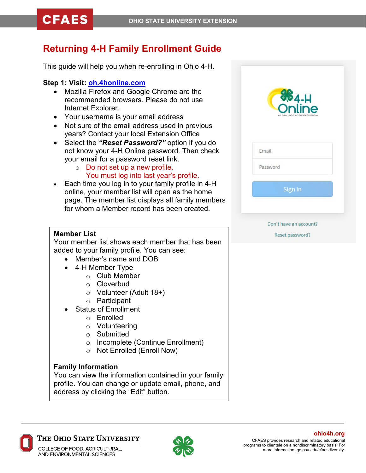# **Returning 4-H Family Enrollment Guide**

This guide will help you when re-enrolling in Ohio 4-H.

# **Step 1: Visit: [oh.4honline.com](https://v2.4honline.com/#/user/sign-in)**

- Mozilla Firefox and Google Chrome are the recommended browsers. Please do not use Internet Explorer.
- Your username is your email address
- Not sure of the email address used in previous years? Contact your local Extension Office
- Select the *"Reset Password?"* option if you do not know your 4-H Online password. Then check your email for a password reset link.
	- o Do not set up a new profile. You must log into last year's profile.
- Each time you log in to your family profile in 4-H online, your member list will open as the home page. The member list displays all family members for whom a Member record has been created.

#### **Member List**

Your member list shows each member that has been added to your family profile. You can see:

- Member's name and DOB
- 4-H Member Type
	- o Club Member
	- o Cloverbud
	- o Volunteer (Adult 18+)
	- o Participant
- Status of Enrollment
	- o Enrolled
	- o Volunteering
	- o Submitted
	- Incomplete (Continue Enrollment)<br>○ Not Enrolled (Enroll Now)
	- Not Enrolled (Enroll Now)

## **Family Information**

You can view the information contained in your family profile. You can change or update email, phone, and address by clicking the "Edit" button.



| Email    |         |  |
|----------|---------|--|
| Password |         |  |
|          | Sign in |  |

#### Don't have an account?

Reset password?



THE OHIO STATE UNIVERSITY

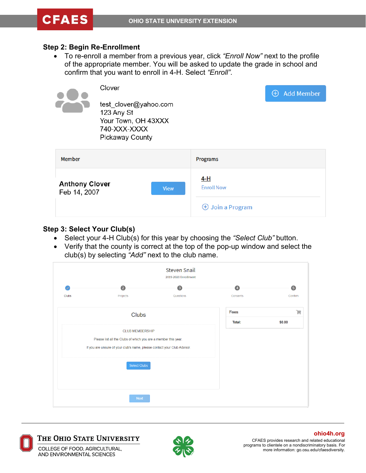#### **Step 2: Begin Re-Enrollment**

• To re-enroll a member from a previous year, click *"Enroll Now"* next to the profile of the appropriate member. You will be asked to update the grade in school and confirm that you want to enroll in 4-H. Select *"Enroll"*.



| Member                | Programs                   |
|-----------------------|----------------------------|
| <b>Anthony Clover</b> | 4-H                        |
| <b>View</b>           | <b>Enroll Now</b>          |
| Feb 14, 2007          | $\bigoplus$ Join a Program |

#### **Step 3: Select Your Club(s)**

- Select your 4-H Club(s) for this year by choosing the *"Select Club"* button.
- Verify that the county is correct at the top of the pop-up window and select the club(s) by selecting *"Add"* next to the club name.





#### The Ohio State University

COLLEGE OF FOOD, AGRICULTURAL, AND ENVIRONMENTAL SCIENCES



CFAES provides research and related educational programs to clientele on a nondiscriminatory basis. For more information: go.osu.edu/cfaesdiversity. **ohio4h.org**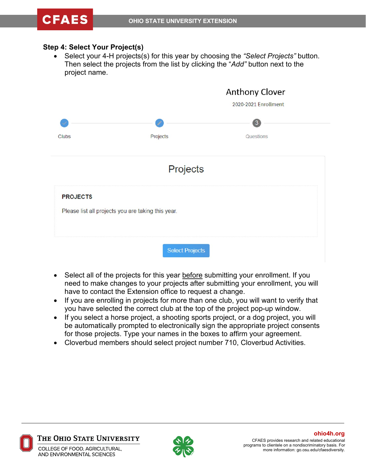#### **Step 4: Select Your Project(s)**

• Select your 4-H projects(s) for this year by choosing the *"Select Projects"* button. Then select the projects from the list by clicking the "*Add"* button next to the project name.

|                 |                                                    | <b>Anthony Clover</b><br>2020-2021 Enrollment |  |
|-----------------|----------------------------------------------------|-----------------------------------------------|--|
| <b>Clubs</b>    | P<br>Projects                                      | 3<br>Questions                                |  |
|                 | Projects                                           |                                               |  |
| <b>PROJECTS</b> | Please list all projects you are taking this year. |                                               |  |
|                 | <b>Select Projects</b>                             |                                               |  |

- Select all of the projects for this year before submitting your enrollment. If you need to make changes to your projects after submitting your enrollment, you will have to contact the Extension office to request a change.
- If you are enrolling in projects for more than one club, you will want to verify that you have selected the correct club at the top of the project pop-up window.
- If you select a horse project, a shooting sports project, or a dog project, you will be automatically prompted to electronically sign the appropriate project consents for those projects. Type your names in the boxes to affirm your agreement.
- Cloverbud members should select project number 710, Cloverbud Activities.



The Ohio State University

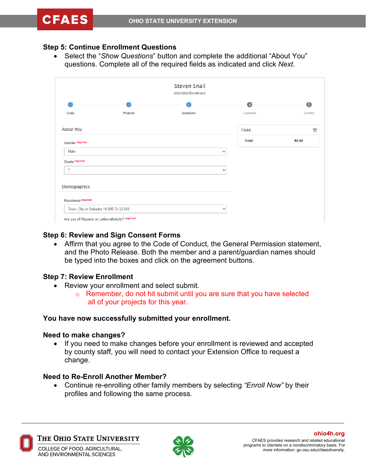### **Step 5: Continue Enrollment Questions**

• Select the "*Show Questions*" button and complete the additional "About You" questions. Complete all of the required fields as indicated and click *Next*.

| <b>Steven Snail</b><br>2019-2020 Enrollment |                                        |           |                |         |
|---------------------------------------------|----------------------------------------|-----------|----------------|---------|
|                                             |                                        |           | $\overline{4}$ | 5       |
| <b>Clubs</b>                                | Projects                               | Questions | Consents       | Confirm |
| <b>About You</b>                            |                                        |           | Fees           | 1.      |
| Gender required                             |                                        |           | <b>Total:</b>  | \$0.00  |
| Male                                        |                                        |           | $\bullet$      |         |
| Grade required                              |                                        |           |                |         |
| 7                                           |                                        |           | ٧              |         |
| Demographics                                |                                        |           |                |         |
| Residence required                          |                                        |           |                |         |
|                                             | Town, City or Suburbs 10,000 To 50,000 |           | $\pmb{\psi}$   |         |

#### **Step 6: Review and Sign Consent Forms**

• Affirm that you agree to the Code of Conduct, the General Permission statement, and the Photo Release. Both the member and a parent/guardian names should be typed into the boxes and click on the agreement buttons.

#### **Step 7: Review Enrollment**

- Review your enrollment and select submit.
	- o Remember, do not hit submit until you are sure that you have selected all of your projects for this year.

#### **You have now successfully submitted your enrollment.**

#### **Need to make changes?**

• If you need to make changes before your enrollment is reviewed and accepted by county staff, you will need to contact your Extension Office to request a change.

#### **Need to Re-Enroll Another Member?**

• Continue re-enrolling other family members by selecting *"Enroll Now"* by their profiles and following the same process.



The Ohio State University